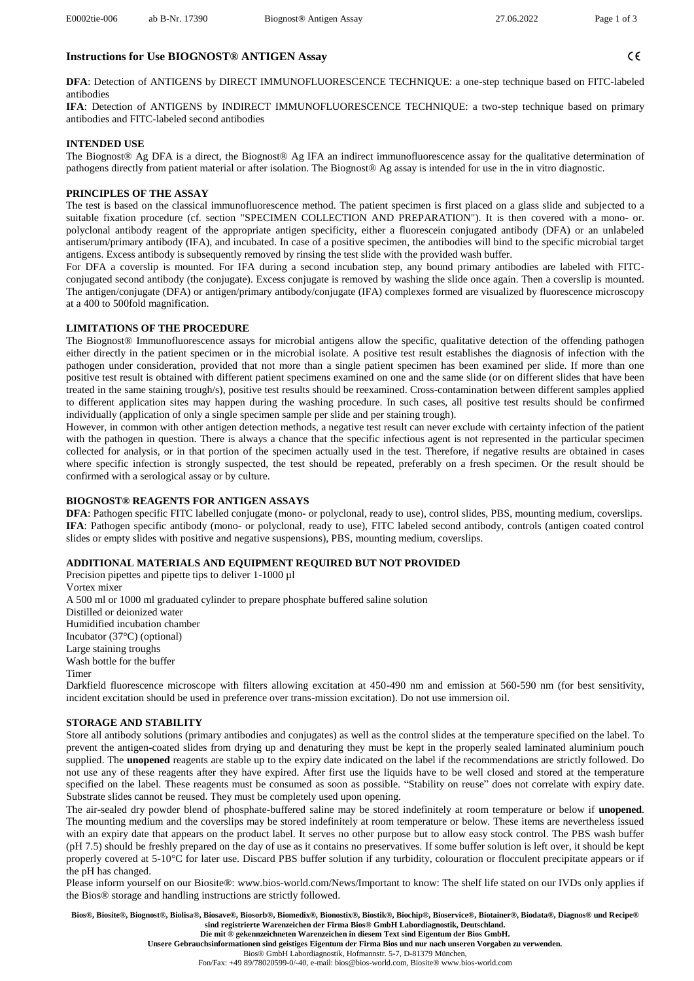$C \in$ 

# **Instructions for Use BIOGNOST® ANTIGEN Assay**

**DFA**: Detection of ANTIGENS by DIRECT IMMUNOFLUORESCENCE TECHNIQUE: a one-step technique based on FITC-labeled antibodies

**IFA**: Detection of ANTIGENS by INDIRECT IMMUNOFLUORESCENCE TECHNIQUE: a two-step technique based on primary antibodies and FITC-labeled second antibodies

## **INTENDED USE**

The Biognost® Ag DFA is a direct, the Biognost® Ag IFA an indirect immunofluorescence assay for the qualitative determination of pathogens directly from patient material or after isolation. The Biognost® Ag assay is intended for use in the in vitro diagnostic.

# **PRINCIPLES OF THE ASSAY**

The test is based on the classical immunofluorescence method. The patient specimen is first placed on a glass slide and subjected to a suitable fixation procedure (cf. section "SPECIMEN COLLECTION AND PREPARATION"). It is then covered with a mono- or. polyclonal antibody reagent of the appropriate antigen specificity, either a fluorescein conjugated antibody (DFA) or an unlabeled antiserum/primary antibody (IFA), and incubated. In case of a positive specimen, the antibodies will bind to the specific microbial target antigens. Excess antibody is subsequently removed by rinsing the test slide with the provided wash buffer.

For DFA a coverslip is mounted. For IFA during a second incubation step, any bound primary antibodies are labeled with FITCconjugated second antibody (the conjugate). Excess conjugate is removed by washing the slide once again. Then a coverslip is mounted. The antigen/conjugate (DFA) or antigen/primary antibody/conjugate (IFA) complexes formed are visualized by fluorescence microscopy at a 400 to 500fold magnification.

# **LIMITATIONS OF THE PROCEDURE**

The Biognost® Immunofluorescence assays for microbial antigens allow the specific, qualitative detection of the offending pathogen either directly in the patient specimen or in the microbial isolate. A positive test result establishes the diagnosis of infection with the pathogen under consideration, provided that not more than a single patient specimen has been examined per slide. If more than one positive test result is obtained with different patient specimens examined on one and the same slide (or on different slides that have been treated in the same staining trough/s), positive test results should be reexamined. Cross-contamination between different samples applied to different application sites may happen during the washing procedure. In such cases, all positive test results should be confirmed individually (application of only a single specimen sample per slide and per staining trough).

However, in common with other antigen detection methods, a negative test result can never exclude with certainty infection of the patient with the pathogen in question. There is always a chance that the specific infectious agent is not represented in the particular specimen collected for analysis, or in that portion of the specimen actually used in the test. Therefore, if negative results are obtained in cases where specific infection is strongly suspected, the test should be repeated, preferably on a fresh specimen. Or the result should be confirmed with a serological assay or by culture.

## **BIOGNOST® REAGENTS FOR ANTIGEN ASSAYS**

**DFA**: Pathogen specific FITC labelled conjugate (mono- or polyclonal, ready to use), control slides, PBS, mounting medium, coverslips. **IFA**: Pathogen specific antibody (mono- or polyclonal, ready to use), FITC labeled second antibody, controls (antigen coated control slides or empty slides with positive and negative suspensions), PBS, mounting medium, coverslips.

# **ADDITIONAL MATERIALS AND EQUIPMENT REQUIRED BUT NOT PROVIDED**

Precision pipettes and pipette tips to deliver 1-1000 µl Vortex mixer A 500 ml or 1000 ml graduated cylinder to prepare phosphate buffered saline solution Distilled or deionized water Humidified incubation chamber Incubator (37°C) (optional) Large staining troughs Wash bottle for the buffer Timer

Darkfield fluorescence microscope with filters allowing excitation at 450-490 nm and emission at 560-590 nm (for best sensitivity, incident excitation should be used in preference over trans-mission excitation). Do not use immersion oil.

## **STORAGE AND STABILITY**

Store all antibody solutions (primary antibodies and conjugates) as well as the control slides at the temperature specified on the label. To prevent the antigen-coated slides from drying up and denaturing they must be kept in the properly sealed laminated aluminium pouch supplied. The **unopened** reagents are stable up to the expiry date indicated on the label if the recommendations are strictly followed. Do not use any of these reagents after they have expired. After first use the liquids have to be well closed and stored at the temperature specified on the label. These reagents must be consumed as soon as possible. "Stability on reuse" does not correlate with expiry date. Substrate slides cannot be reused. They must be completely used upon opening.

The air-sealed dry powder blend of phosphate-buffered saline may be stored indefinitely at room temperature or below if **unopened**. The mounting medium and the coverslips may be stored indefinitely at room temperature or below. These items are nevertheless issued with an expiry date that appears on the product label. It serves no other purpose but to allow easy stock control. The PBS wash buffer (pH 7.5) should be freshly prepared on the day of use as it contains no preservatives. If some buffer solution is left over, it should be kept properly covered at 5-10°C for later use. Discard PBS buffer solution if any turbidity, colouration or flocculent precipitate appears or if the pH has changed.

Please inform yourself on our Biosite®: [www.bios-world.com/News/Important to know: The shelf life stated on our IVDs only applies if](http://www.bios-world.com/News/Important%20to%20know:%20The%20shelf%20life%20stated%20on%20our%20IVDs%20only%20applies%20if%20the%20Bios®%20storage%20and%20handling%20instructions%20are%20strictly%20followed.)  [the Bios® storage and handling instructions are strictly followed.](http://www.bios-world.com/News/Important%20to%20know:%20The%20shelf%20life%20stated%20on%20our%20IVDs%20only%20applies%20if%20the%20Bios®%20storage%20and%20handling%20instructions%20are%20strictly%20followed.)

**Bios®, Biosite®, Biognost®, Biolisa®, Biosave®, Biosorb®, Biomedix®, Bionostix®, Biostik®, Biochip®, Bioservice®, Biotainer®, Biodata®, Diagnos® und Recipe® sind registrierte Warenzeichen der Firma Bios® GmbH Labordiagnostik, Deutschland. Die mit ® gekennzeichneten Warenzeichen in diesem Text sind Eigentum der Bios GmbH.**

**Unsere Gebrauchsinformationen sind geistiges Eigentum der Firma Bios und nur nach unseren Vorgaben zu verwenden.**

Bios® GmbH Labordiagnostik, Hofmannstr. 5-7, D-81379 München,

Fon/Fax: +49 89/78020599-0/-40, e-mail: [bios@bios-world.com,](mailto:bios@bios-world.com) Biosite® www.bios-world.com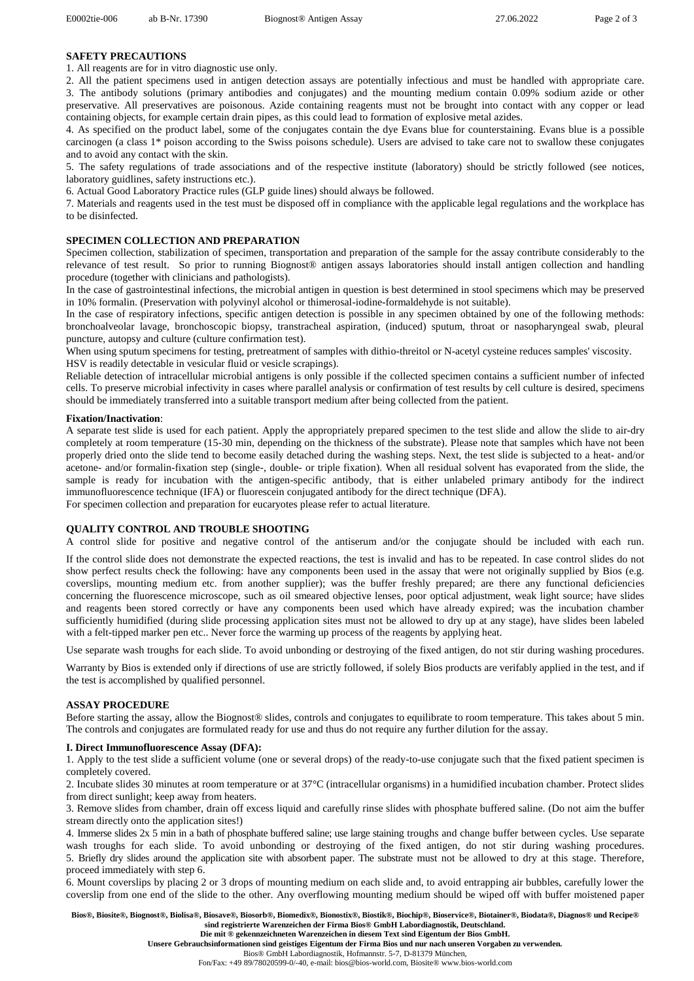#### **SAFETY PRECAUTIONS**

1. All reagents are for in vitro diagnostic use only.

2. All the patient specimens used in antigen detection assays are potentially infectious and must be handled with appropriate care. 3. The antibody solutions (primary antibodies and conjugates) and the mounting medium contain 0.09% sodium azide or other preservative. All preservatives are poisonous. Azide containing reagents must not be brought into contact with any copper or lead containing objects, for example certain drain pipes, as this could lead to formation of explosive metal azides.

4. As specified on the product label, some of the conjugates contain the dye Evans blue for counterstaining. Evans blue is a possible carcinogen (a class 1\* poison according to the Swiss poisons schedule). Users are advised to take care not to swallow these conjugates and to avoid any contact with the skin.

5. The safety regulations of trade associations and of the respective institute (laboratory) should be strictly followed (see notices, laboratory guidlines, safety instructions etc.).

6. Actual Good Laboratory Practice rules (GLP guide lines) should always be followed.

7. Materials and reagents used in the test must be disposed off in compliance with the applicable legal regulations and the workplace has to be disinfected.

# **SPECIMEN COLLECTION AND PREPARATION**

Specimen collection, stabilization of specimen, transportation and preparation of the sample for the assay contribute considerably to the relevance of test result. So prior to running Biognost® antigen assays laboratories should install antigen collection and handling procedure (together with clinicians and pathologists).

In the case of gastrointestinal infections, the microbial antigen in question is best determined in stool specimens which may be preserved in 10% formalin. (Preservation with polyvinyl alcohol or thimerosal-iodine-formaldehyde is not suitable).

In the case of respiratory infections, specific antigen detection is possible in any specimen obtained by one of the following methods: bronchoalveolar lavage, bronchoscopic biopsy, transtracheal aspiration, (induced) sputum, throat or nasopharyngeal swab, pleural puncture, autopsy and culture (culture confirmation test).

When using sputum specimens for testing, pretreatment of samples with dithio-threitol or N-acetyl cysteine reduces samples' viscosity. HSV is readily detectable in vesicular fluid or vesicle scrapings).

Reliable detection of intracellular microbial antigens is only possible if the collected specimen contains a sufficient number of infected cells. To preserve microbial infectivity in cases where parallel analysis or confirmation of test results by cell culture is desired, specimens should be immediately transferred into a suitable transport medium after being collected from the patient.

#### **Fixation/Inactivation**:

A separate test slide is used for each patient. Apply the appropriately prepared specimen to the test slide and allow the slide to air-dry completely at room temperature (15-30 min, depending on the thickness of the substrate). Please note that samples which have not been properly dried onto the slide tend to become easily detached during the washing steps. Next, the test slide is subjected to a heat- and/or acetone- and/or formalin-fixation step (single-, double- or triple fixation). When all residual solvent has evaporated from the slide, the sample is ready for incubation with the antigen-specific antibody, that is either unlabeled primary antibody for the indirect immunofluorescence technique (IFA) or fluorescein conjugated antibody for the direct technique (DFA). For specimen collection and preparation for eucaryotes please refer to actual literature.

**QUALITY CONTROL AND TROUBLE SHOOTING**

A control slide for positive and negative control of the antiserum and/or the conjugate should be included with each run.

If the control slide does not demonstrate the expected reactions, the test is invalid and has to be repeated. In case control slides do not show perfect results check the following: have any components been used in the assay that were not originally supplied by Bios (e.g. coverslips, mounting medium etc. from another supplier); was the buffer freshly prepared; are there any functional deficiencies concerning the fluorescence microscope, such as oil smeared objective lenses, poor optical adjustment, weak light source; have slides and reagents been stored correctly or have any components been used which have already expired; was the incubation chamber sufficiently humidified (during slide processing application sites must not be allowed to dry up at any stage), have slides been labeled with a felt-tipped marker pen etc.. Never force the warming up process of the reagents by applying heat.

Use separate wash troughs for each slide. To avoid unbonding or destroying of the fixed antigen, do not stir during washing procedures.

Warranty by Bios is extended only if directions of use are strictly followed, if solely Bios products are verifably applied in the test, and if the test is accomplished by qualified personnel.

## **ASSAY PROCEDURE**

Before starting the assay, allow the Biognost® slides, controls and conjugates to equilibrate to room temperature. This takes about 5 min. The controls and conjugates are formulated ready for use and thus do not require any further dilution for the assay.

#### **I. Direct Immunofluorescence Assay (DFA):**

1. Apply to the test slide a sufficient volume (one or several drops) of the ready-to-use conjugate such that the fixed patient specimen is completely covered.

2. Incubate slides 30 minutes at room temperature or at 37°C (intracellular organisms) in a humidified incubation chamber. Protect slides from direct sunlight; keep away from heaters.

3. Remove slides from chamber, drain off excess liquid and carefully rinse slides with phosphate buffered saline. (Do not aim the buffer stream directly onto the application sites!)

4. Immerse slides 2x 5 min in a bath of phosphate buffered saline; use large staining troughs and change buffer between cycles. Use separate wash troughs for each slide. To avoid unbonding or destroying of the fixed antigen, do not stir during washing procedures. 5. Briefly dry slides around the application site with absorbent paper. The substrate must not be allowed to dry at this stage. Therefore, proceed immediately with step 6.

6. Mount coverslips by placing 2 or 3 drops of mounting medium on each slide and, to avoid entrapping air bubbles, carefully lower the coverslip from one end of the slide to the other. Any overflowing mounting medium should be wiped off with buffer moistened paper

**Bios®, Biosite®, Biognost®, Biolisa®, Biosave®, Biosorb®, Biomedix®, Bionostix®, Biostik®, Biochip®, Bioservice®, Biotainer®, Biodata®, Diagnos® und Recipe® sind registrierte Warenzeichen der Firma Bios® GmbH Labordiagnostik, Deutschland. Die mit ® gekennzeichneten Warenzeichen in diesem Text sind Eigentum der Bios GmbH.**

**Unsere Gebrauchsinformationen sind geistiges Eigentum der Firma Bios und nur nach unseren Vorgaben zu verwenden.**

Bios® GmbH Labordiagnostik, Hofmannstr. 5-7, D-81379 München,

Fon/Fax: +49 89/78020599-0/-40, e-mail: [bios@bios-world.com,](mailto:bios@bios-world.com) Biosite® www.bios-world.com